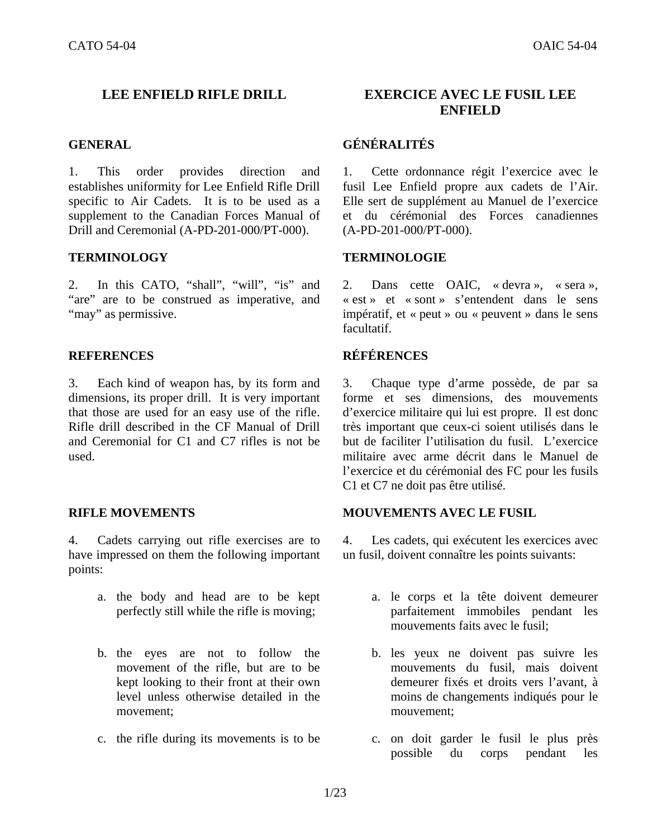1. This order provides direction and establishes uniformity for Lee Enfield Rifle Drill specific to Air Cadets. It is to be used as a supplement to the Canadian Forces Manual of Drill and Ceremonial (A-PD-201-000/PT-000).

2. In this CATO, "shall", "will", "is" and "are" are to be construed as imperative, and "may" as permissive.

## **REFERENCES RÉFÉRENCES**

3. Each kind of weapon has, by its form and dimensions, its proper drill. It is very important that those are used for an easy use of the rifle. Rifle drill described in the CF Manual of Drill and Ceremonial for C1 and C7 rifles is not be used.

4. Cadets carrying out rifle exercises are to have impressed on them the following important points:

- a. the body and head are to be kept perfectly still while the rifle is moving;
- b. the eyes are not to follow the movement of the rifle, but are to be kept looking to their front at their own level unless otherwise detailed in the movement;
- c. the rifle during its movements is to be c. on doit garder le fusil le plus près

## **LEE ENFIELD RIFLE DRILL EXERCICE AVEC LE FUSIL LEE ENFIELD**

## **GENERAL GÉNÉRALITÉS**

1. Cette ordonnance régit l'exercice avec le fusil Lee Enfield propre aux cadets de l'Air. Elle sert de supplément au Manuel de l'exercice et du cérémonial des Forces canadiennes (A-PD-201-000/PT-000).

## **TERMINOLOGY TERMINOLOGIE**

2. Dans cette OAIC, « devra », « sera », « est » et « sont » s'entendent dans le sens impératif, et « peut » ou « peuvent » dans le sens facultatif.

3. Chaque type d'arme possède, de par sa forme et ses dimensions, des mouvements d'exercice militaire qui lui est propre. Il est donc très important que ceux-ci soient utilisés dans le but de faciliter l'utilisation du fusil. L'exercice militaire avec arme décrit dans le Manuel de l'exercice et du cérémonial des FC pour les fusils C1 et C7 ne doit pas être utilisé.

## **RIFLE MOVEMENTS MOUVEMENTS AVEC LE FUSIL**

4. Les cadets, qui exécutent les exercices avec un fusil, doivent connaître les points suivants:

- a. le corps et la tête doivent demeurer parfaitement immobiles pendant les mouvements faits avec le fusil;
- b. les yeux ne doivent pas suivre les mouvements du fusil, mais doivent demeurer fixés et droits vers l'avant, à moins de changements indiqués pour le mouvement;
- possible du corps pendant les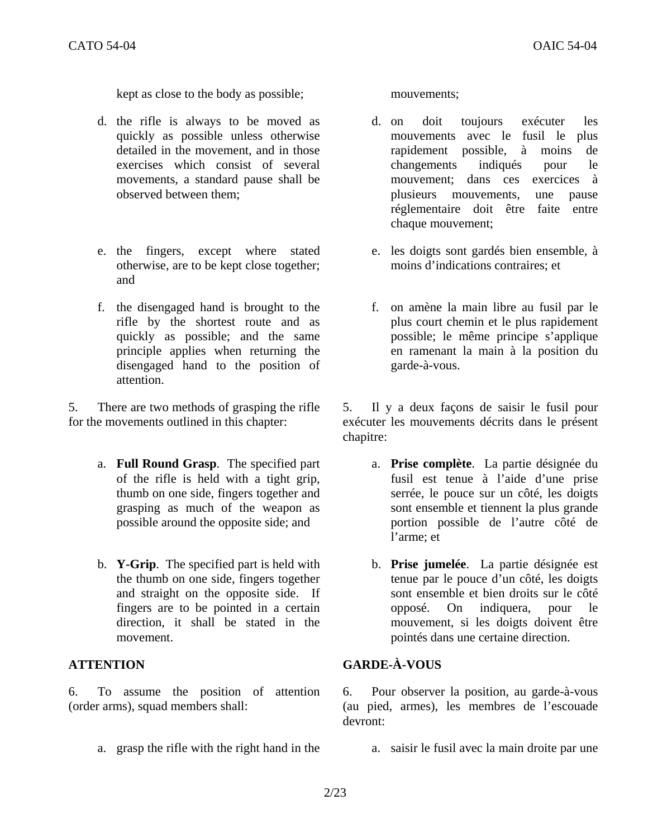kept as close to the body as possible; mouvements;

- d. the rifle is always to be moved as quickly as possible unless otherwise detailed in the movement, and in those exercises which consist of several movements, a standard pause shall be observed between them;
- e. the fingers, except where stated otherwise, are to be kept close together; and
- f. the disengaged hand is brought to the rifle by the shortest route and as quickly as possible; and the same principle applies when returning the disengaged hand to the position of attention.

5. There are two methods of grasping the rifle for the movements outlined in this chapter:

- a. **Full Round Grasp**. The specified part of the rifle is held with a tight grip, thumb on one side, fingers together and grasping as much of the weapon as possible around the opposite side; and
- b. **Y-Grip**. The specified part is held with the thumb on one side, fingers together and straight on the opposite side. If fingers are to be pointed in a certain direction, it shall be stated in the movement.

6. To assume the position of attention (order arms), squad members shall:

- d. on doit toujours exécuter les mouvements avec le fusil le plus rapidement possible, à moins de changements indiqués pour le mouvement; dans ces exercices à plusieurs mouvements, une pause réglementaire doit être faite entre chaque mouvement;
- e. les doigts sont gardés bien ensemble, à moins d'indications contraires; et
- f. on amène la main libre au fusil par le plus court chemin et le plus rapidement possible; le même principe s'applique en ramenant la main à la position du garde-à-vous.

5. Il y a deux façons de saisir le fusil pour exécuter les mouvements décrits dans le présent chapitre:

- a. **Prise complète**. La partie désignée du fusil est tenue à l'aide d'une prise serrée, le pouce sur un côté, les doigts sont ensemble et tiennent la plus grande portion possible de l'autre côté de l'arme; et
- b. **Prise jumelée**. La partie désignée est tenue par le pouce d'un côté, les doigts sont ensemble et bien droits sur le côté opposé. On indiquera, pour le mouvement, si les doigts doivent être pointés dans une certaine direction.

## **ATTENTION GARDE-À-VOUS**

6. Pour observer la position, au garde-à-vous (au pied, armes), les membres de l'escouade devront:

a. grasp the rifle with the right hand in the a. saisir le fusil avec la main droite par une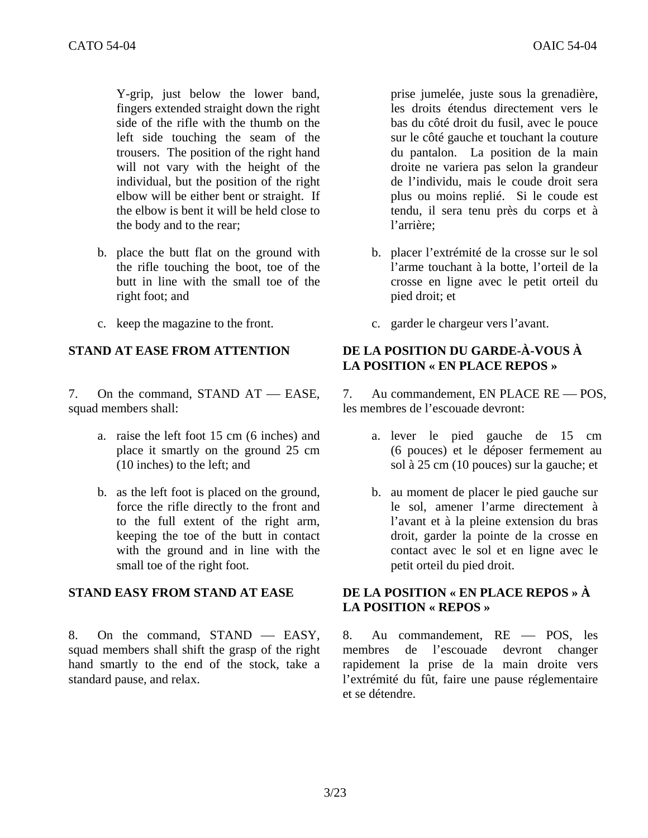Y-grip, just below the lower band, fingers extended straight down the right side of the rifle with the thumb on the left side touching the seam of the trousers. The position of the right hand will not vary with the height of the individual, but the position of the right elbow will be either bent or straight. If the elbow is bent it will be held close to the body and to the rear;

- b. place the butt flat on the ground with the rifle touching the boot, toe of the butt in line with the small toe of the right foot; and
- 

7. On the command, STAND  $AT - EASE$ , squad members shall:

- a. raise the left foot 15 cm (6 inches) and place it smartly on the ground 25 cm (10 inches) to the left; and
- b. as the left foot is placed on the ground, force the rifle directly to the front and to the full extent of the right arm, keeping the toe of the butt in contact with the ground and in line with the small toe of the right foot.

8. On the command,  $STAND$   $-$  EASY, squad members shall shift the grasp of the right hand smartly to the end of the stock, take a standard pause, and relax.

prise jumelée, juste sous la grenadière, les droits étendus directement vers le bas du côté droit du fusil, avec le pouce sur le côté gauche et touchant la couture du pantalon. La position de la main droite ne variera pas selon la grandeur de l'individu, mais le coude droit sera plus ou moins replié. Si le coude est tendu, il sera tenu près du corps et à l'arrière;

- b. placer l'extrémité de la crosse sur le sol l'arme touchant à la botte, l'orteil de la crosse en ligne avec le petit orteil du pied droit; et
- c. keep the magazine to the front. c. garder le chargeur vers l'avant.

## **STAND AT EASE FROM ATTENTION DE LA POSITION DU GARDE-À-VOUS À LA POSITION « EN PLACE REPOS »**

7. Au commandement, EN PLACE RE — POS, les membres de l'escouade devront:

- a. lever le pied gauche de 15 cm (6 pouces) et le déposer fermement au sol à 25 cm (10 pouces) sur la gauche; et
- b. au moment de placer le pied gauche sur le sol, amener l'arme directement à l'avant et à la pleine extension du bras droit, garder la pointe de la crosse en contact avec le sol et en ligne avec le petit orteil du pied droit.

## **STAND EASY FROM STAND AT EASE DE LA POSITION « EN PLACE REPOS » À LA POSITION « REPOS »**

8. Au commandement, RE - POS, les membres de l'escouade devront changer rapidement la prise de la main droite vers l'extrémité du fût, faire une pause réglementaire et se détendre.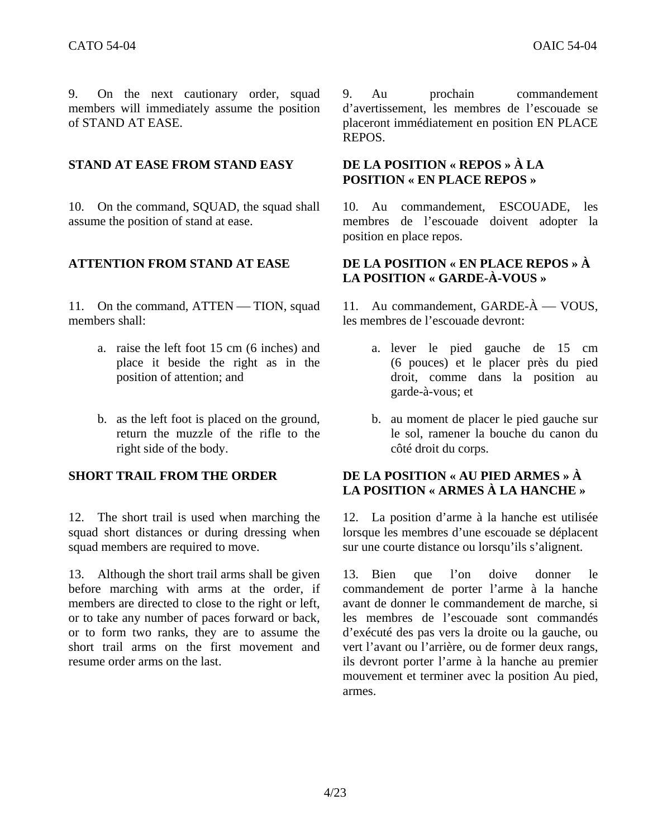9. On the next cautionary order, squad members will immediately assume the position of STAND AT EASE.

## **STAND AT EASE FROM STAND EASY DE LA POSITION « REPOS » À LA**

10. On the command, SQUAD, the squad shall assume the position of stand at ease.

11. On the command, ATTEN — TION, squad members shall:

- a. raise the left foot 15 cm (6 inches) and place it beside the right as in the position of attention; and
- b. as the left foot is placed on the ground, return the muzzle of the rifle to the right side of the body.

12. The short trail is used when marching the squad short distances or during dressing when squad members are required to move.

13. Although the short trail arms shall be given before marching with arms at the order, if members are directed to close to the right or left, or to take any number of paces forward or back, or to form two ranks, they are to assume the short trail arms on the first movement and resume order arms on the last.

9. Au prochain commandement d'avertissement, les membres de l'escouade se placeront immédiatement en position EN PLACE REPOS.

# **POSITION « EN PLACE REPOS »**

10. Au commandement, ESCOUADE, les membres de l'escouade doivent adopter la position en place repos.

## **ATTENTION FROM STAND AT EASE DE LA POSITION « EN PLACE REPOS » À LA POSITION « GARDE-À-VOUS »**

11. Au commandement,  $GARDE-\hat{A}$  — VOUS, les membres de l'escouade devront:

- a. lever le pied gauche de 15 cm (6 pouces) et le placer près du pied droit, comme dans la position au garde-à-vous; et
- b. au moment de placer le pied gauche sur le sol, ramener la bouche du canon du côté droit du corps.

## **SHORT TRAIL FROM THE ORDER DE LA POSITION « AU PIED ARMES » À LA POSITION « ARMES À LA HANCHE »**

12. La position d'arme à la hanche est utilisée lorsque les membres d'une escouade se déplacent sur une courte distance ou lorsqu'ils s'alignent.

13. Bien que l'on doive donner le commandement de porter l'arme à la hanche avant de donner le commandement de marche, si les membres de l'escouade sont commandés d'exécuté des pas vers la droite ou la gauche, ou vert l'avant ou l'arrière, ou de former deux rangs, ils devront porter l'arme à la hanche au premier mouvement et terminer avec la position Au pied, armes.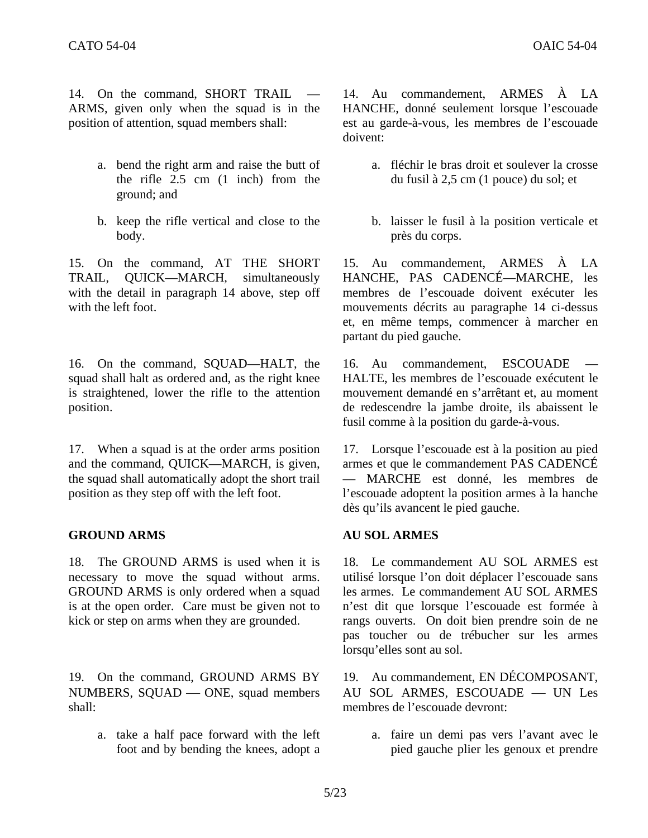14. On the command, SHORT TRAIL ARMS, given only when the squad is in the position of attention, squad members shall:

- a. bend the right arm and raise the butt of the rifle 2.5 cm (1 inch) from the ground; and
- b. keep the rifle vertical and close to the body.

15. On the command, AT THE SHORT TRAIL, QUICK—MARCH, simultaneously with the detail in paragraph 14 above, step off with the left foot.

16. On the command, SQUAD—HALT, the squad shall halt as ordered and, as the right knee is straightened, lower the rifle to the attention position.

17. When a squad is at the order arms position and the command, QUICK—MARCH, is given, the squad shall automatically adopt the short trail position as they step off with the left foot.

## **GROUND ARMS AU SOL ARMES**

18. The GROUND ARMS is used when it is necessary to move the squad without arms. GROUND ARMS is only ordered when a squad is at the open order. Care must be given not to kick or step on arms when they are grounded.

19. On the command, GROUND ARMS BY NUMBERS, SQUAD — ONE, squad members shall:

> a. take a half pace forward with the left foot and by bending the knees, adopt a

14. Au commandement, ARMES À LA HANCHE, donné seulement lorsque l'escouade est au garde-à-vous, les membres de l'escouade doivent:

- a. fléchir le bras droit et soulever la crosse du fusil à 2,5 cm (1 pouce) du sol; et
- b. laisser le fusil à la position verticale et près du corps.

15. Au commandement, ARMES À LA HANCHE, PAS CADENCÉ—MARCHE, les membres de l'escouade doivent exécuter les mouvements décrits au paragraphe 14 ci-dessus et, en même temps, commencer à marcher en partant du pied gauche.

16. Au commandement, ESCOUADE HALTE, les membres de l'escouade exécutent le mouvement demandé en s'arrêtant et, au moment de redescendre la jambe droite, ils abaissent le fusil comme à la position du garde-à-vous.

17. Lorsque l'escouade est à la position au pied armes et que le commandement PAS CADENCÉ — MARCHE est donné, les membres de l'escouade adoptent la position armes à la hanche dès qu'ils avancent le pied gauche.

18. Le commandement AU SOL ARMES est utilisé lorsque l'on doit déplacer l'escouade sans les armes. Le commandement AU SOL ARMES n'est dit que lorsque l'escouade est formée à rangs ouverts. On doit bien prendre soin de ne pas toucher ou de trébucher sur les armes lorsqu'elles sont au sol.

19. Au commandement, EN DÉCOMPOSANT, AU SOL ARMES, ESCOUADE - UN Les membres de l'escouade devront:

> a. faire un demi pas vers l'avant avec le pied gauche plier les genoux et prendre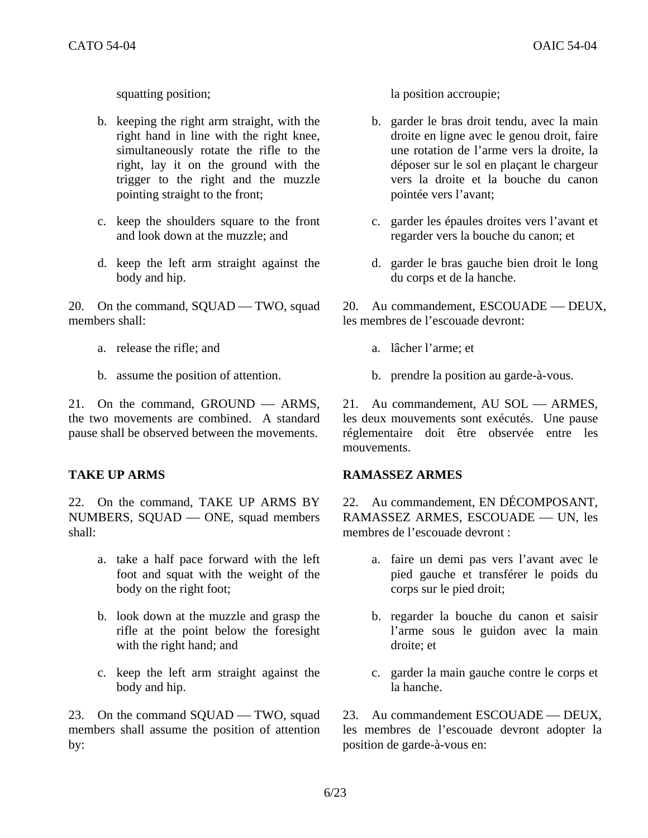- b. keeping the right arm straight, with the right hand in line with the right knee, simultaneously rotate the rifle to the right, lay it on the ground with the trigger to the right and the muzzle pointing straight to the front;
- c. keep the shoulders square to the front and look down at the muzzle; and
- d. keep the left arm straight against the body and hip.

20. On the command, SQUAD — TWO, squad members shall:

- a. release the rifle; and a. lâcher l'arme; et
- 

21. On the command,  $GROUND - ARMS$ , the two movements are combined. A standard pause shall be observed between the movements.

22. On the command, TAKE UP ARMS BY NUMBERS, SQUAD — ONE, squad members shall:

- a. take a half pace forward with the left foot and squat with the weight of the body on the right foot;
- b. look down at the muzzle and grasp the rifle at the point below the foresight with the right hand; and
- c. keep the left arm straight against the body and hip.

23. On the command SQUAD — TWO, squad members shall assume the position of attention by:

squatting position; la position accroupie;

- b. garder le bras droit tendu, avec la main droite en ligne avec le genou droit, faire une rotation de l'arme vers la droite, la déposer sur le sol en plaçant le chargeur vers la droite et la bouche du canon pointée vers l'avant;
- c. garder les épaules droites vers l'avant et regarder vers la bouche du canon; et
- d. garder le bras gauche bien droit le long du corps et de la hanche.

20. Au commandement, ESCOUADE — DEUX, les membres de l'escouade devront:

- 
- b. assume the position of attention. b. prendre la position au garde-à-vous.

21. Au commandement, AU SOL — ARMES, les deux mouvements sont exécutés. Une pause réglementaire doit être observée entre les mouvements.

## **TAKE UP ARMS RAMASSEZ ARMES**

22. Au commandement, EN DÉCOMPOSANT, RAMASSEZ ARMES, ESCOUADE - UN, les membres de l'escouade devront :

- a. faire un demi pas vers l'avant avec le pied gauche et transférer le poids du corps sur le pied droit;
- b. regarder la bouche du canon et saisir l'arme sous le guidon avec la main droite; et
- c. garder la main gauche contre le corps et la hanche.

23. Au commandement ESCOUADE — DEUX, les membres de l'escouade devront adopter la position de garde-à-vous en: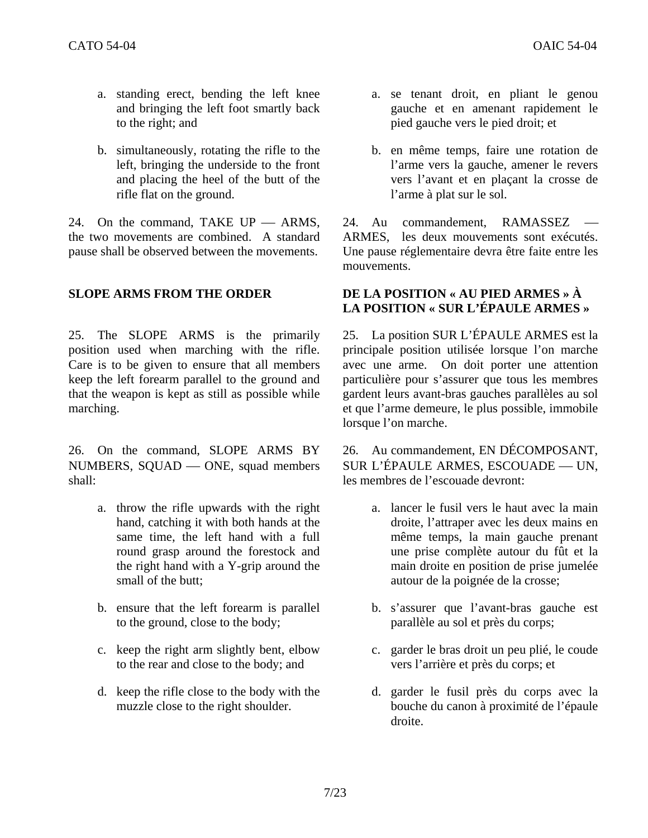- a. standing erect, bending the left knee and bringing the left foot smartly back to the right; and
- b. simultaneously, rotating the rifle to the left, bringing the underside to the front and placing the heel of the butt of the rifle flat on the ground.

24. On the command, TAKE  $UP$   $-$  ARMS, the two movements are combined. A standard pause shall be observed between the movements.

25. The SLOPE ARMS is the primarily position used when marching with the rifle. Care is to be given to ensure that all members keep the left forearm parallel to the ground and that the weapon is kept as still as possible while marching.

26. On the command, SLOPE ARMS BY NUMBERS, SOUAD — ONE, squad members shall:

- a. throw the rifle upwards with the right hand, catching it with both hands at the same time, the left hand with a full round grasp around the forestock and the right hand with a Y-grip around the small of the butt;
- b. ensure that the left forearm is parallel to the ground, close to the body;
- c. keep the right arm slightly bent, elbow to the rear and close to the body; and
- d. keep the rifle close to the body with the muzzle close to the right shoulder.
- a. se tenant droit, en pliant le genou gauche et en amenant rapidement le pied gauche vers le pied droit; et
- b. en même temps, faire une rotation de l'arme vers la gauche, amener le revers vers l'avant et en plaçant la crosse de l'arme à plat sur le sol.

24. Au commandement, RAMASSEZ ARMES, les deux mouvements sont exécutés. Une pause réglementaire devra être faite entre les mouvements.

## **SLOPE ARMS FROM THE ORDER DE LA POSITION « AU PIED ARMES » À LA POSITION « SUR L'ÉPAULE ARMES »**

25. La position SUR L'ÉPAULE ARMES est la principale position utilisée lorsque l'on marche avec une arme. On doit porter une attention particulière pour s'assurer que tous les membres gardent leurs avant-bras gauches parallèles au sol et que l'arme demeure, le plus possible, immobile lorsque l'on marche.

26. Au commandement, EN DÉCOMPOSANT, SUR L'ÉPAULE ARMES, ESCOUADE — UN, les membres de l'escouade devront:

- a. lancer le fusil vers le haut avec la main droite, l'attraper avec les deux mains en même temps, la main gauche prenant une prise complète autour du fût et la main droite en position de prise jumelée autour de la poignée de la crosse;
- b. s'assurer que l'avant-bras gauche est parallèle au sol et près du corps;
- c. garder le bras droit un peu plié, le coude vers l'arrière et près du corps; et
- d. garder le fusil près du corps avec la bouche du canon à proximité de l'épaule droite.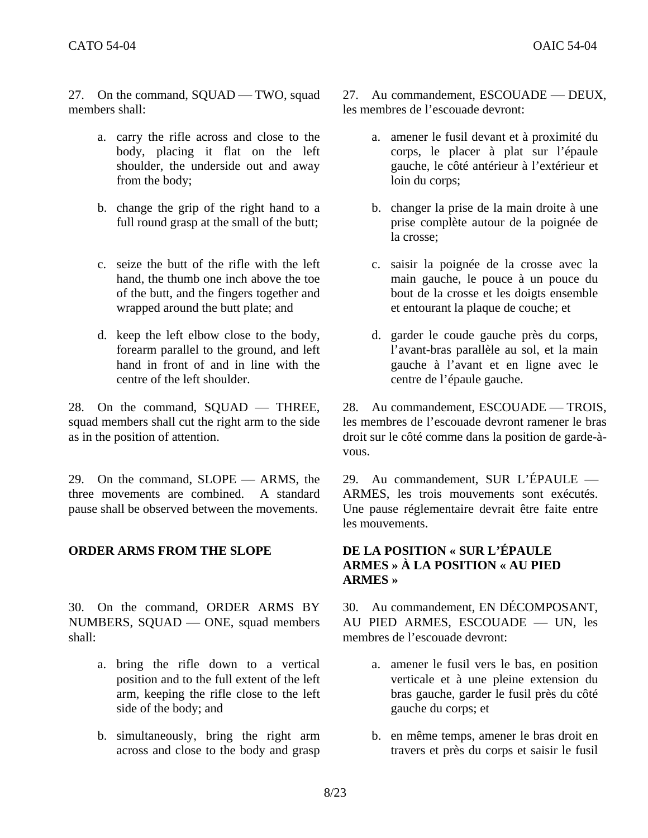27. On the command, SQUAD — TWO, squad members shall:

- a. carry the rifle across and close to the body, placing it flat on the left shoulder, the underside out and away from the body;
- b. change the grip of the right hand to a full round grasp at the small of the butt;
- c. seize the butt of the rifle with the left hand, the thumb one inch above the toe of the butt, and the fingers together and wrapped around the butt plate; and
- d. keep the left elbow close to the body, forearm parallel to the ground, and left hand in front of and in line with the centre of the left shoulder.

28. On the command, SQUAD - THREE, squad members shall cut the right arm to the side as in the position of attention.

29. On the command,  $SLOPE$   $-$  ARMS, the three movements are combined. A standard pause shall be observed between the movements.

## **ORDER ARMS FROM THE SLOPE DE LA POSITION « SUR L'ÉPAULE**

30. On the command, ORDER ARMS BY NUMBERS, SQUAD — ONE, squad members shall:

- a. bring the rifle down to a vertical position and to the full extent of the left arm, keeping the rifle close to the left side of the body; and
- b. simultaneously, bring the right arm across and close to the body and grasp

27. Au commandement, ESCOUADE — DEUX, les membres de l'escouade devront:

- a. amener le fusil devant et à proximité du corps, le placer à plat sur l'épaule gauche, le côté antérieur à l'extérieur et loin du corps;
- b. changer la prise de la main droite à une prise complète autour de la poignée de la crosse;
- c. saisir la poignée de la crosse avec la main gauche, le pouce à un pouce du bout de la crosse et les doigts ensemble et entourant la plaque de couche; et
- d. garder le coude gauche près du corps, l'avant-bras parallèle au sol, et la main gauche à l'avant et en ligne avec le centre de l'épaule gauche.

28. Au commandement, ESCOUADE — TROIS, les membres de l'escouade devront ramener le bras droit sur le côté comme dans la position de garde-àvous.

29. Au commandement, SUR L'ÉPAULE  $-$ ARMES, les trois mouvements sont exécutés. Une pause réglementaire devrait être faite entre les mouvements.

## **ARMES » À LA POSITION « AU PIED ARMES »**

30. Au commandement, EN DÉCOMPOSANT, AU PIED ARMES, ESCOUADE - UN, les membres de l'escouade devront:

- a. amener le fusil vers le bas, en position verticale et à une pleine extension du bras gauche, garder le fusil près du côté gauche du corps; et
- b. en même temps, amener le bras droit en travers et près du corps et saisir le fusil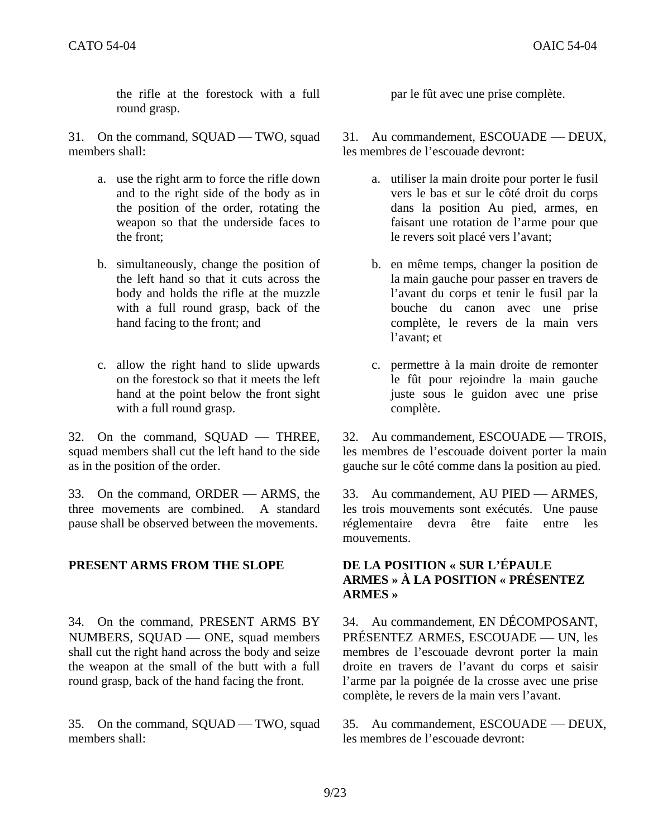the rifle at the forestock with a full round grasp.

31. On the command, SQUAD — TWO, squad members shall:

- a. use the right arm to force the rifle down and to the right side of the body as in the position of the order, rotating the weapon so that the underside faces to the front;
- b. simultaneously, change the position of the left hand so that it cuts across the body and holds the rifle at the muzzle with a full round grasp, back of the hand facing to the front; and
- c. allow the right hand to slide upwards on the forestock so that it meets the left hand at the point below the front sight with a full round grasp.

 $32.$  On the command, SQUAD — THREE, squad members shall cut the left hand to the side as in the position of the order.

33. On the command, ORDER — ARMS, the three movements are combined. A standard pause shall be observed between the movements.

## **PRESENT ARMS FROM THE SLOPE DE LA POSITION « SUR L'ÉPAULE**

34. On the command, PRESENT ARMS BY NUMBERS, SQUAD - ONE, squad members shall cut the right hand across the body and seize the weapon at the small of the butt with a full round grasp, back of the hand facing the front.

35. On the command, SQUAD — TWO, squad members shall:

par le fût avec une prise complète.

31. Au commandement, ESCOUADE — DEUX, les membres de l'escouade devront:

- a. utiliser la main droite pour porter le fusil vers le bas et sur le côté droit du corps dans la position Au pied, armes, en faisant une rotation de l'arme pour que le revers soit placé vers l'avant;
- b. en même temps, changer la position de la main gauche pour passer en travers de l'avant du corps et tenir le fusil par la bouche du canon avec une prise complète, le revers de la main vers l'avant; et
- c. permettre à la main droite de remonter le fût pour rejoindre la main gauche juste sous le guidon avec une prise complète.

32. Au commandement, ESCOUADE — TROIS, les membres de l'escouade doivent porter la main gauche sur le côté comme dans la position au pied.

33. Au commandement, AU PIED — ARMES, les trois mouvements sont exécutés. Une pause réglementaire devra être faite entre les mouvements.

## **ARMES » À LA POSITION « PRÉSENTEZ ARMES »**

34. Au commandement, EN DÉCOMPOSANT, PRÉSENTEZ ARMES, ESCOUADE — UN, les membres de l'escouade devront porter la main droite en travers de l'avant du corps et saisir l'arme par la poignée de la crosse avec une prise complète, le revers de la main vers l'avant.

35. Au commandement, ESCOUADE — DEUX, les membres de l'escouade devront: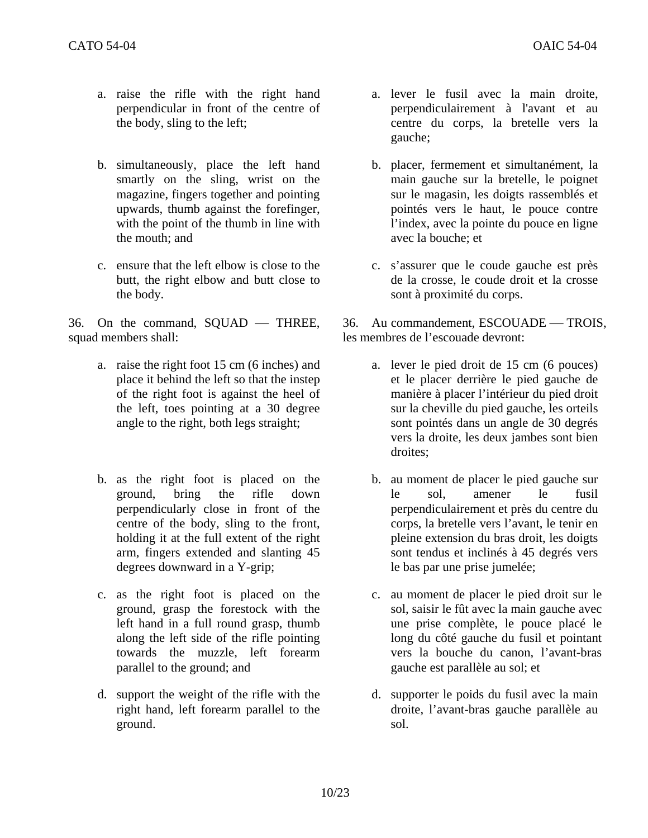- a. raise the rifle with the right hand perpendicular in front of the centre of the body, sling to the left;
- b. simultaneously, place the left hand smartly on the sling, wrist on the magazine, fingers together and pointing upwards, thumb against the forefinger, with the point of the thumb in line with the mouth; and
- c. ensure that the left elbow is close to the butt, the right elbow and butt close to the body.

 $36.$  On the command, SQUAD — THREE, squad members shall:

- a. raise the right foot 15 cm (6 inches) and place it behind the left so that the instep of the right foot is against the heel of the left, toes pointing at a 30 degree angle to the right, both legs straight;
- b. as the right foot is placed on the ground, bring the rifle down perpendicularly close in front of the centre of the body, sling to the front, holding it at the full extent of the right arm, fingers extended and slanting 45 degrees downward in a Y-grip;
- c. as the right foot is placed on the ground, grasp the forestock with the left hand in a full round grasp, thumb along the left side of the rifle pointing towards the muzzle, left forearm parallel to the ground; and
- d. support the weight of the rifle with the right hand, left forearm parallel to the ground.
- a. lever le fusil avec la main droite, perpendiculairement à l'avant et au centre du corps, la bretelle vers la gauche;
- b. placer, fermement et simultanément, la main gauche sur la bretelle, le poignet sur le magasin, les doigts rassemblés et pointés vers le haut, le pouce contre l'index, avec la pointe du pouce en ligne avec la bouche; et
- c. s'assurer que le coude gauche est près de la crosse, le coude droit et la crosse sont à proximité du corps.

36. Au commandement, ESCOUADE — TROIS, les membres de l'escouade devront:

- a. lever le pied droit de 15 cm (6 pouces) et le placer derrière le pied gauche de manière à placer l'intérieur du pied droit sur la cheville du pied gauche, les orteils sont pointés dans un angle de 30 degrés vers la droite, les deux jambes sont bien droites;
- b. au moment de placer le pied gauche sur le sol, amener le fusil perpendiculairement et près du centre du corps, la bretelle vers l'avant, le tenir en pleine extension du bras droit, les doigts sont tendus et inclinés à 45 degrés vers le bas par une prise jumelée;
- c. au moment de placer le pied droit sur le sol, saisir le fût avec la main gauche avec une prise complète, le pouce placé le long du côté gauche du fusil et pointant vers la bouche du canon, l'avant-bras gauche est parallèle au sol; et
- d. supporter le poids du fusil avec la main droite, l'avant-bras gauche parallèle au sol.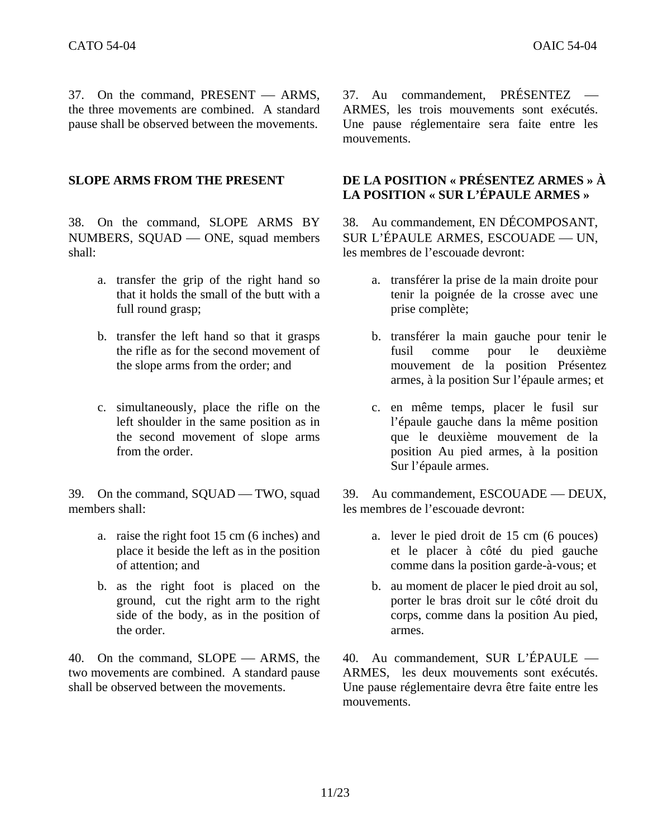37. On the command, PRESENT — ARMS, the three movements are combined. A standard pause shall be observed between the movements.

38. On the command, SLOPE ARMS BY NUMBERS, SQUAD — ONE, squad members shall:

- a. transfer the grip of the right hand so that it holds the small of the butt with a full round grasp;
- b. transfer the left hand so that it grasps the rifle as for the second movement of the slope arms from the order; and
- c. simultaneously, place the rifle on the left shoulder in the same position as in the second movement of slope arms from the order.

39. On the command, SQUAD — TWO, squad members shall:

- a. raise the right foot 15 cm (6 inches) and place it beside the left as in the position of attention; and
- b. as the right foot is placed on the ground, cut the right arm to the right side of the body, as in the position of the order.

40. On the command, SLOPE — ARMS, the two movements are combined. A standard pause shall be observed between the movements.

 $37.$  Au commandement, PRÉSENTEZ — ARMES, les trois mouvements sont exécutés. Une pause réglementaire sera faite entre les mouvements.

## **SLOPE ARMS FROM THE PRESENT DE LA POSITION « PRÉSENTEZ ARMES » À LA POSITION « SUR L'ÉPAULE ARMES »**

38. Au commandement, EN DÉCOMPOSANT, SUR L'ÉPAULE ARMES, ESCOUADE — UN, les membres de l'escouade devront:

- a. transférer la prise de la main droite pour tenir la poignée de la crosse avec une prise complète;
- b. transférer la main gauche pour tenir le fusil comme pour le deuxième mouvement de la position Présentez armes, à la position Sur l'épaule armes; et
- c. en même temps, placer le fusil sur l'épaule gauche dans la même position que le deuxième mouvement de la position Au pied armes, à la position Sur l'épaule armes.

39. Au commandement, ESCOUADE — DEUX, les membres de l'escouade devront:

- a. lever le pied droit de 15 cm (6 pouces) et le placer à côté du pied gauche comme dans la position garde-à-vous; et
- b. au moment de placer le pied droit au sol, porter le bras droit sur le côté droit du corps, comme dans la position Au pied, armes.

40. Au commandement, SUR L'ÉPAULE — ARMES, les deux mouvements sont exécutés. Une pause réglementaire devra être faite entre les mouvements.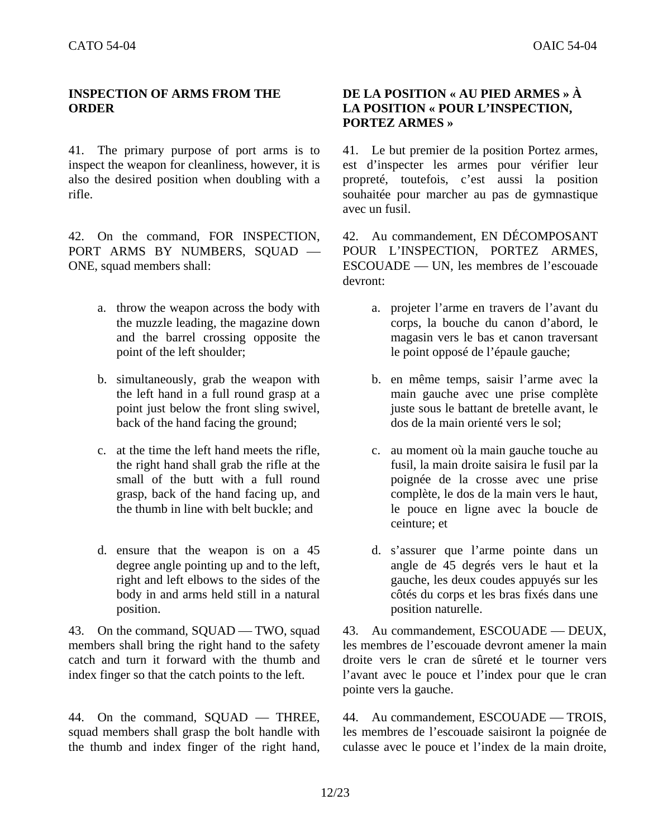## **INSPECTION OF ARMS FROM THE ORDER**

41. The primary purpose of port arms is to inspect the weapon for cleanliness, however, it is also the desired position when doubling with a rifle.

42. On the command, FOR INSPECTION, PORT ARMS BY NUMBERS, SOUAD -ONE, squad members shall:

- a. throw the weapon across the body with the muzzle leading, the magazine down and the barrel crossing opposite the point of the left shoulder;
- b. simultaneously, grab the weapon with the left hand in a full round grasp at a point just below the front sling swivel, back of the hand facing the ground;
- c. at the time the left hand meets the rifle, the right hand shall grab the rifle at the small of the butt with a full round grasp, back of the hand facing up, and the thumb in line with belt buckle; and
- d. ensure that the weapon is on a 45 degree angle pointing up and to the left, right and left elbows to the sides of the body in and arms held still in a natural position.

43. On the command, SQUAD — TWO, squad members shall bring the right hand to the safety catch and turn it forward with the thumb and index finger so that the catch points to the left.

44. On the command, SOUAD — THREE, squad members shall grasp the bolt handle with the thumb and index finger of the right hand,

## **DE LA POSITION « AU PIED ARMES » À LA POSITION « POUR L'INSPECTION, PORTEZ ARMES »**

41. Le but premier de la position Portez armes, est d'inspecter les armes pour vérifier leur propreté, toutefois, c'est aussi la position souhaitée pour marcher au pas de gymnastique avec un fusil.

42. Au commandement, EN DÉCOMPOSANT POUR L'INSPECTION, PORTEZ ARMES, ESCOUADE — UN, les membres de l'escouade devront:

- a. projeter l'arme en travers de l'avant du corps, la bouche du canon d'abord, le magasin vers le bas et canon traversant le point opposé de l'épaule gauche;
- b. en même temps, saisir l'arme avec la main gauche avec une prise complète juste sous le battant de bretelle avant, le dos de la main orienté vers le sol;
- c. au moment où la main gauche touche au fusil, la main droite saisira le fusil par la poignée de la crosse avec une prise complète, le dos de la main vers le haut, le pouce en ligne avec la boucle de ceinture; et
- d. s'assurer que l'arme pointe dans un angle de 45 degrés vers le haut et la gauche, les deux coudes appuyés sur les côtés du corps et les bras fixés dans une position naturelle.

43. Au commandement, ESCOUADE — DEUX, les membres de l'escouade devront amener la main droite vers le cran de sûreté et le tourner vers l'avant avec le pouce et l'index pour que le cran pointe vers la gauche.

44. Au commandement, ESCOUADE — TROIS, les membres de l'escouade saisiront la poignée de culasse avec le pouce et l'index de la main droite,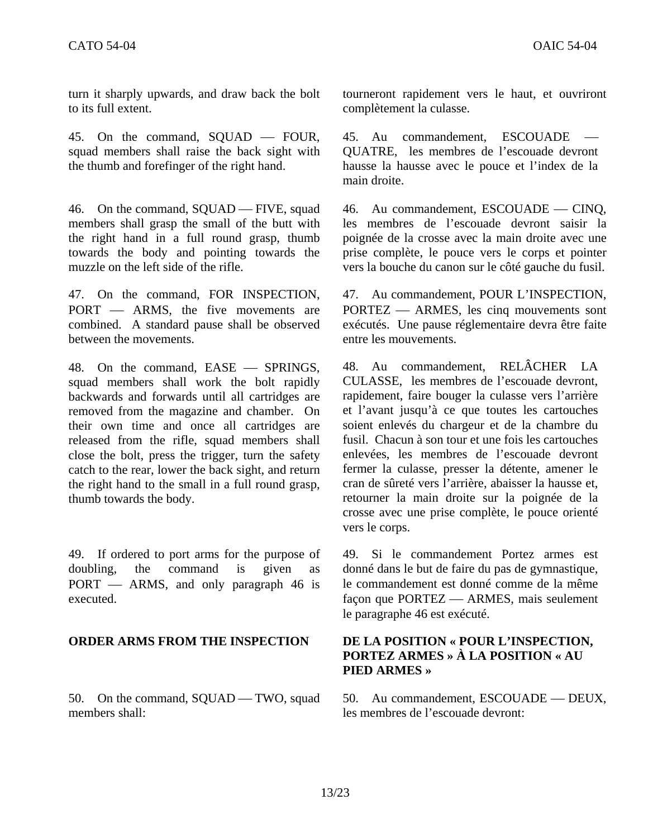turn it sharply upwards, and draw back the bolt to its full extent.

45. On the command,  $SQUAD$  — FOUR, squad members shall raise the back sight with the thumb and forefinger of the right hand.

46. On the command, SQUAD — FIVE, squad members shall grasp the small of the butt with the right hand in a full round grasp, thumb towards the body and pointing towards the muzzle on the left side of the rifle.

47. On the command, FOR INSPECTION, PORT — ARMS, the five movements are combined. A standard pause shall be observed between the movements.

48. On the command, EASE – SPRINGS, squad members shall work the bolt rapidly backwards and forwards until all cartridges are removed from the magazine and chamber. On their own time and once all cartridges are released from the rifle, squad members shall close the bolt, press the trigger, turn the safety catch to the rear, lower the back sight, and return the right hand to the small in a full round grasp, thumb towards the body.

49. If ordered to port arms for the purpose of doubling, the command is given as  $PORT$   $\longrightarrow$  ARMS, and only paragraph 46 is executed.

50. On the command, SQUAD — TWO, squad members shall:

tourneront rapidement vers le haut, et ouvriront complètement la culasse.

45. Au commandement, ESCOUADE — QUATRE, les membres de l'escouade devront hausse la hausse avec le pouce et l'index de la main droite.

46. Au commandement, ESCOUADE — CINQ, les membres de l'escouade devront saisir la poignée de la crosse avec la main droite avec une prise complète, le pouce vers le corps et pointer vers la bouche du canon sur le côté gauche du fusil.

47. Au commandement, POUR L'INSPECTION, PORTEZ — ARMES, les cinq mouvements sont exécutés. Une pause réglementaire devra être faite entre les mouvements.

48. Au commandement, RELÂCHER LA CULASSE, les membres de l'escouade devront, rapidement, faire bouger la culasse vers l'arrière et l'avant jusqu'à ce que toutes les cartouches soient enlevés du chargeur et de la chambre du fusil. Chacun à son tour et une fois les cartouches enlevées, les membres de l'escouade devront fermer la culasse, presser la détente, amener le cran de sûreté vers l'arrière, abaisser la hausse et, retourner la main droite sur la poignée de la crosse avec une prise complète, le pouce orienté vers le corps.

49. Si le commandement Portez armes est donné dans le but de faire du pas de gymnastique, le commandement est donné comme de la même façon que PORTEZ — ARMES, mais seulement le paragraphe 46 est exécuté.

## **ORDER ARMS FROM THE INSPECTION DE LA POSITION « POUR L'INSPECTION, PORTEZ ARMES » À LA POSITION « AU PIED ARMES »**

50. Au commandement, ESCOUADE — DEUX, les membres de l'escouade devront: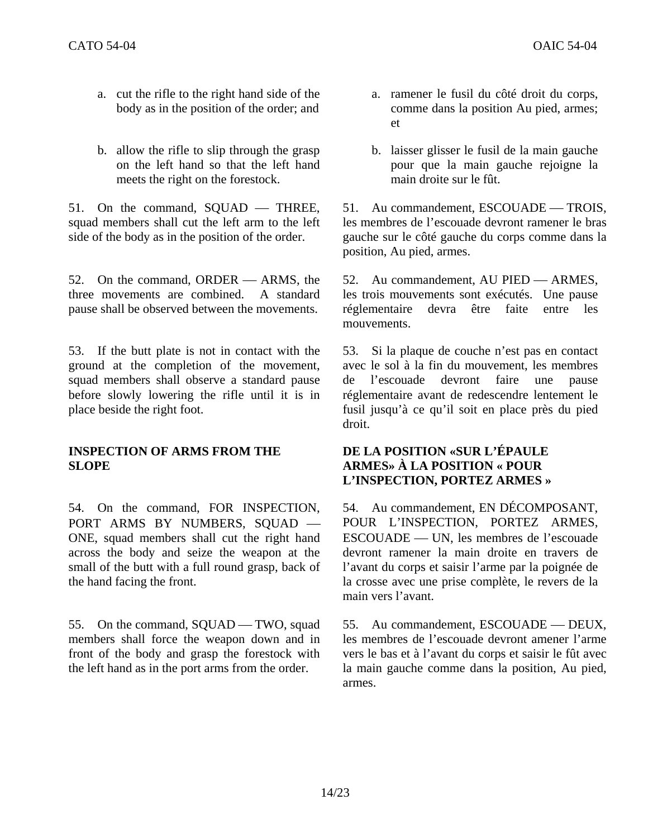- a. cut the rifle to the right hand side of the body as in the position of the order; and
- b. allow the rifle to slip through the grasp on the left hand so that the left hand meets the right on the forestock.

51. On the command,  $SQUAD$  — THREE, squad members shall cut the left arm to the left side of the body as in the position of the order.

52. On the command, ORDER — ARMS, the three movements are combined. A standard pause shall be observed between the movements.

53. If the butt plate is not in contact with the ground at the completion of the movement, squad members shall observe a standard pause before slowly lowering the rifle until it is in place beside the right foot.

## **INSPECTION OF ARMS FROM THE SLOPE**

54. On the command, FOR INSPECTION, PORT ARMS BY NUMBERS, SQUAD -ONE, squad members shall cut the right hand across the body and seize the weapon at the small of the butt with a full round grasp, back of the hand facing the front.

55. On the command, SQUAD — TWO, squad members shall force the weapon down and in front of the body and grasp the forestock with the left hand as in the port arms from the order.

- a. ramener le fusil du côté droit du corps, comme dans la position Au pied, armes; et
- b. laisser glisser le fusil de la main gauche pour que la main gauche rejoigne la main droite sur le fût.

51. Au commandement, ESCOUADE — TROIS, les membres de l'escouade devront ramener le bras gauche sur le côté gauche du corps comme dans la position, Au pied, armes.

52. Au commandement, AU PIED — ARMES, les trois mouvements sont exécutés. Une pause réglementaire devra être faite entre les mouvements.

53. Si la plaque de couche n'est pas en contact avec le sol à la fin du mouvement, les membres de l'escouade devront faire une pause réglementaire avant de redescendre lentement le fusil jusqu'à ce qu'il soit en place près du pied droit.

## **DE LA POSITION «SUR L'ÉPAULE ARMES» À LA POSITION « POUR L'INSPECTION, PORTEZ ARMES »**

54. Au commandement, EN DÉCOMPOSANT, POUR L'INSPECTION, PORTEZ ARMES, ESCOUADE — UN, les membres de l'escouade devront ramener la main droite en travers de l'avant du corps et saisir l'arme par la poignée de la crosse avec une prise complète, le revers de la main vers l'avant.

55. Au commandement, ESCOUADE — DEUX, les membres de l'escouade devront amener l'arme vers le bas et à l'avant du corps et saisir le fût avec la main gauche comme dans la position, Au pied, armes.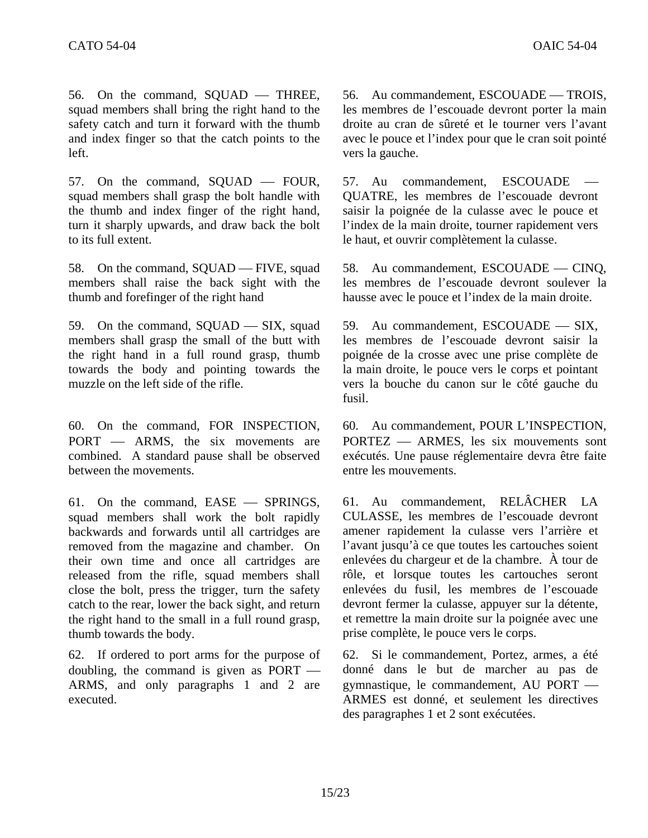56. On the command, SQUAD — THREE, squad members shall bring the right hand to the safety catch and turn it forward with the thumb and index finger so that the catch points to the left.

57. On the command,  $SQUAD$  — FOUR, squad members shall grasp the bolt handle with the thumb and index finger of the right hand, turn it sharply upwards, and draw back the bolt to its full extent.

58. On the command, SQUAD — FIVE, squad members shall raise the back sight with the thumb and forefinger of the right hand

59. On the command,  $SQUAD$  — SIX, squad members shall grasp the small of the butt with the right hand in a full round grasp, thumb towards the body and pointing towards the muzzle on the left side of the rifle.

60. On the command, FOR INSPECTION, PORT — ARMS, the six movements are combined. A standard pause shall be observed between the movements.

61. On the command, EASE — SPRINGS, squad members shall work the bolt rapidly backwards and forwards until all cartridges are removed from the magazine and chamber. On their own time and once all cartridges are released from the rifle, squad members shall close the bolt, press the trigger, turn the safety catch to the rear, lower the back sight, and return the right hand to the small in a full round grasp, thumb towards the body.

62. If ordered to port arms for the purpose of doubling, the command is given as  $PORT$  — ARMS, and only paragraphs 1 and 2 are executed.

56. Au commandement, ESCOUADE — TROIS, les membres de l'escouade devront porter la main droite au cran de sûreté et le tourner vers l'avant avec le pouce et l'index pour que le cran soit pointé vers la gauche.

57. Au commandement, ESCOUADE QUATRE, les membres de l'escouade devront saisir la poignée de la culasse avec le pouce et l'index de la main droite, tourner rapidement vers le haut, et ouvrir complètement la culasse.

58. Au commandement, ESCOUADE — CINQ, les membres de l'escouade devront soulever la hausse avec le pouce et l'index de la main droite.

59. Au commandement, ESCOUADE - SIX, les membres de l'escouade devront saisir la poignée de la crosse avec une prise complète de la main droite, le pouce vers le corps et pointant vers la bouche du canon sur le côté gauche du fusil.

60. Au commandement, POUR L'INSPECTION, PORTEZ - ARMES, les six mouvements sont exécutés. Une pause réglementaire devra être faite entre les mouvements.

61. Au commandement, RELÂCHER LA CULASSE, les membres de l'escouade devront amener rapidement la culasse vers l'arrière et l'avant jusqu'à ce que toutes les cartouches soient enlevées du chargeur et de la chambre. À tour de rôle, et lorsque toutes les cartouches seront enlevées du fusil, les membres de l'escouade devront fermer la culasse, appuyer sur la détente, et remettre la main droite sur la poignée avec une prise complète, le pouce vers le corps.

62. Si le commandement, Portez, armes, a été donné dans le but de marcher au pas de gymnastique, le commandement, AU PORT — ARMES est donné, et seulement les directives des paragraphes 1 et 2 sont exécutées.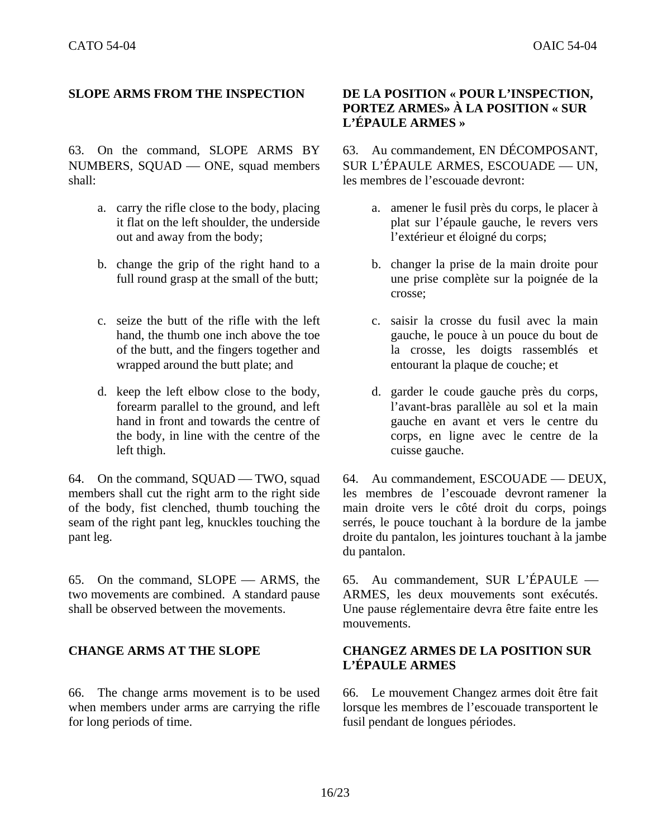63. On the command, SLOPE ARMS BY NUMBERS, SOUAD — ONE, squad members shall:

- a. carry the rifle close to the body, placing it flat on the left shoulder, the underside out and away from the body;
- b. change the grip of the right hand to a full round grasp at the small of the butt;
- c. seize the butt of the rifle with the left hand, the thumb one inch above the toe of the butt, and the fingers together and wrapped around the butt plate; and
- d. keep the left elbow close to the body, forearm parallel to the ground, and left hand in front and towards the centre of the body, in line with the centre of the left thigh.

64. On the command, SQUAD — TWO, squad members shall cut the right arm to the right side of the body, fist clenched, thumb touching the seam of the right pant leg, knuckles touching the pant leg.

65. On the command, SLOPE — ARMS, the two movements are combined. A standard pause shall be observed between the movements.

66. The change arms movement is to be used when members under arms are carrying the rifle for long periods of time.

## **SLOPE ARMS FROM THE INSPECTION DE LA POSITION « POUR L'INSPECTION, PORTEZ ARMES» À LA POSITION « SUR L'ÉPAULE ARMES »**

63. Au commandement, EN DÉCOMPOSANT, SUR L'ÉPAULE ARMES, ESCOUADE — UN, les membres de l'escouade devront:

- a. amener le fusil près du corps, le placer à plat sur l'épaule gauche, le revers vers l'extérieur et éloigné du corps;
- b. changer la prise de la main droite pour une prise complète sur la poignée de la crosse;
- c. saisir la crosse du fusil avec la main gauche, le pouce à un pouce du bout de la crosse, les doigts rassemblés et entourant la plaque de couche; et
- d. garder le coude gauche près du corps, l'avant-bras parallèle au sol et la main gauche en avant et vers le centre du corps, en ligne avec le centre de la cuisse gauche.

64. Au commandement, ESCOUADE — DEUX, les membres de l'escouade devront ramener la main droite vers le côté droit du corps, poings serrés, le pouce touchant à la bordure de la jambe droite du pantalon, les jointures touchant à la jambe du pantalon.

65. Au commandement, SUR L'ÉPAULE  $-$ ARMES, les deux mouvements sont exécutés. Une pause réglementaire devra être faite entre les mouvements.

## **CHANGE ARMS AT THE SLOPE CHANGEZ ARMES DE LA POSITION SUR L'ÉPAULE ARMES**

66. Le mouvement Changez armes doit être fait lorsque les membres de l'escouade transportent le fusil pendant de longues périodes.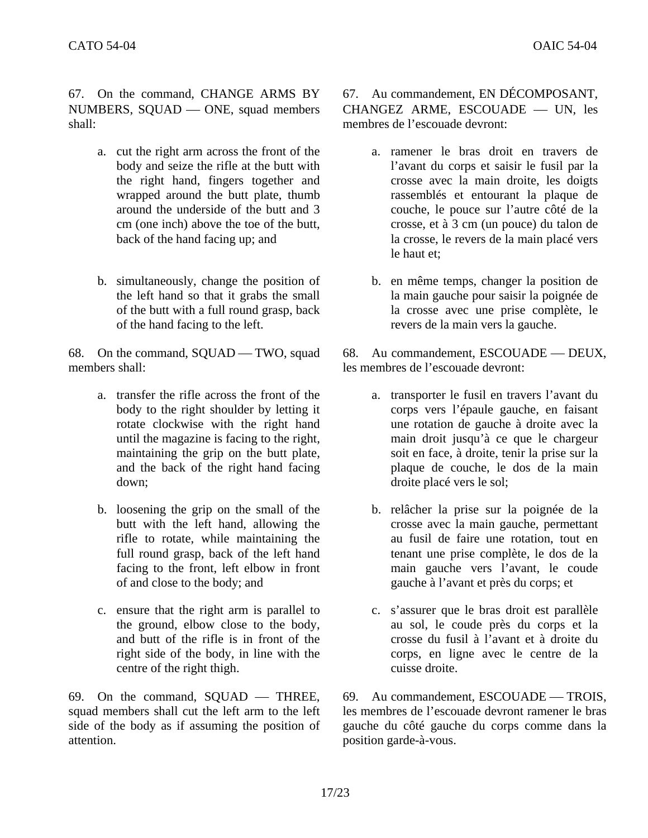67. On the command, CHANGE ARMS BY NUMBERS, SQUAD — ONE, squad members shall:

- a. cut the right arm across the front of the body and seize the rifle at the butt with the right hand, fingers together and wrapped around the butt plate, thumb around the underside of the butt and 3 cm (one inch) above the toe of the butt, back of the hand facing up; and
- b. simultaneously, change the position of the left hand so that it grabs the small of the butt with a full round grasp, back of the hand facing to the left.

68. On the command, SQUAD — TWO, squad members shall:

- a. transfer the rifle across the front of the body to the right shoulder by letting it rotate clockwise with the right hand until the magazine is facing to the right, maintaining the grip on the butt plate, and the back of the right hand facing down;
- b. loosening the grip on the small of the butt with the left hand, allowing the rifle to rotate, while maintaining the full round grasp, back of the left hand facing to the front, left elbow in front of and close to the body; and
- c. ensure that the right arm is parallel to the ground, elbow close to the body, and butt of the rifle is in front of the right side of the body, in line with the centre of the right thigh.

69. On the command,  $SQUAD$  – THREE, squad members shall cut the left arm to the left side of the body as if assuming the position of attention.

67. Au commandement, EN DÉCOMPOSANT, CHANGEZ ARME, ESCOUADE - UN, les membres de l'escouade devront:

- a. ramener le bras droit en travers de l'avant du corps et saisir le fusil par la crosse avec la main droite, les doigts rassemblés et entourant la plaque de couche, le pouce sur l'autre côté de la crosse, et à 3 cm (un pouce) du talon de la crosse, le revers de la main placé vers le haut et;
- b. en même temps, changer la position de la main gauche pour saisir la poignée de la crosse avec une prise complète, le revers de la main vers la gauche.

68. Au commandement, ESCOUADE — DEUX, les membres de l'escouade devront:

- a. transporter le fusil en travers l'avant du corps vers l'épaule gauche, en faisant une rotation de gauche à droite avec la main droit jusqu'à ce que le chargeur soit en face, à droite, tenir la prise sur la plaque de couche, le dos de la main droite placé vers le sol;
- b. relâcher la prise sur la poignée de la crosse avec la main gauche, permettant au fusil de faire une rotation, tout en tenant une prise complète, le dos de la main gauche vers l'avant, le coude gauche à l'avant et près du corps; et
- c. s'assurer que le bras droit est parallèle au sol, le coude près du corps et la crosse du fusil à l'avant et à droite du corps, en ligne avec le centre de la cuisse droite.

69. Au commandement, ESCOUADE — TROIS, les membres de l'escouade devront ramener le bras gauche du côté gauche du corps comme dans la position garde-à-vous.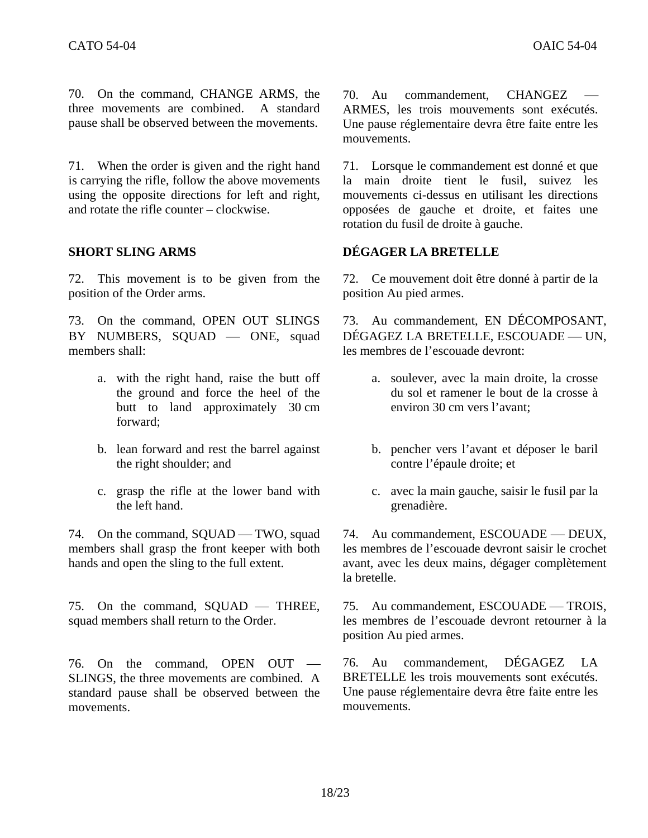70. On the command, CHANGE ARMS, the three movements are combined. A standard pause shall be observed between the movements.

71. When the order is given and the right hand is carrying the rifle, follow the above movements using the opposite directions for left and right, and rotate the rifle counter – clockwise.

72. This movement is to be given from the position of the Order arms.

73. On the command, OPEN OUT SLINGS BY NUMBERS, SQUAD — ONE, squad members shall:

- a. with the right hand, raise the butt off the ground and force the heel of the butt to land approximately 30 cm forward;
- b. lean forward and rest the barrel against the right shoulder; and
- c. grasp the rifle at the lower band with the left hand.

74. On the command, SQUAD — TWO, squad members shall grasp the front keeper with both hands and open the sling to the full extent.

75. On the command,  $SOUAD$  — THREE, squad members shall return to the Order.

76. On the command, OPEN  $OUT -$ SLINGS, the three movements are combined. A standard pause shall be observed between the movements.

70. Au commandement, CHANGEZ ARMES, les trois mouvements sont exécutés. Une pause réglementaire devra être faite entre les mouvements.

71. Lorsque le commandement est donné et que la main droite tient le fusil, suivez les mouvements ci-dessus en utilisant les directions opposées de gauche et droite, et faites une rotation du fusil de droite à gauche.

## **SHORT SLING ARMS DÉGAGER LA BRETELLE**

72. Ce mouvement doit être donné à partir de la position Au pied armes.

73. Au commandement, EN DÉCOMPOSANT, DÉGAGEZ LA BRETELLE, ESCOUADE — UN, les membres de l'escouade devront:

- a. soulever, avec la main droite, la crosse du sol et ramener le bout de la crosse à environ 30 cm vers l'avant;
- b. pencher vers l'avant et déposer le baril contre l'épaule droite; et
- c. avec la main gauche, saisir le fusil par la grenadière.

74. Au commandement, ESCOUADE — DEUX, les membres de l'escouade devront saisir le crochet avant, avec les deux mains, dégager complètement la bretelle.

75. Au commandement, ESCOUADE — TROIS, les membres de l'escouade devront retourner à la position Au pied armes.

76. Au commandement, DÉGAGEZ LA BRETELLE les trois mouvements sont exécutés. Une pause réglementaire devra être faite entre les mouvements.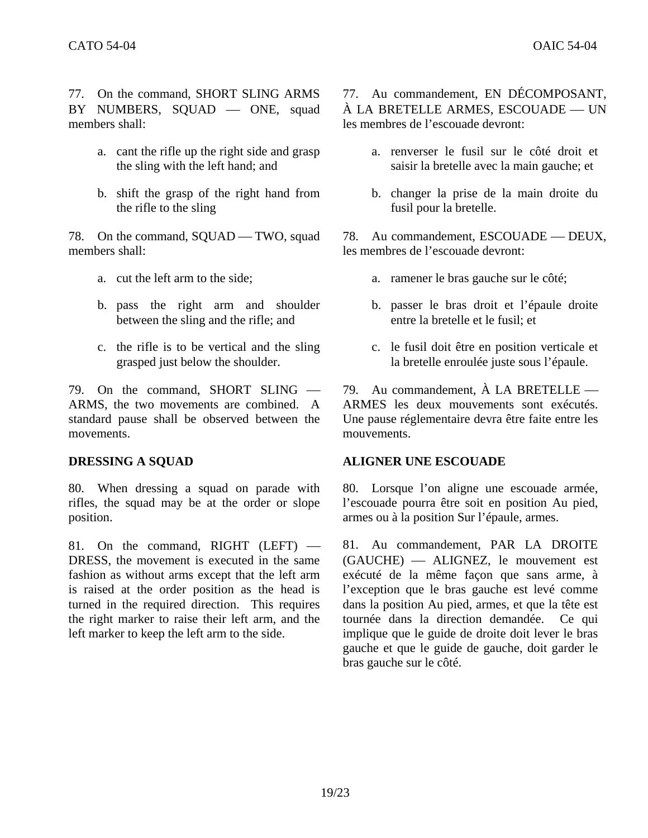77. On the command, SHORT SLING ARMS BY NUMBERS, SQUAD - ONE, squad members shall:

- a. cant the rifle up the right side and grasp the sling with the left hand; and
- b. shift the grasp of the right hand from the rifle to the sling

78. On the command, SQUAD — TWO, squad members shall:

- 
- b. pass the right arm and shoulder between the sling and the rifle; and
- c. the rifle is to be vertical and the sling grasped just below the shoulder.

79. On the command, SHORT SLING  $-$ ARMS, the two movements are combined. A standard pause shall be observed between the movements.

80. When dressing a squad on parade with rifles, the squad may be at the order or slope position.

81. On the command, RIGHT  $(LEFT)$  — DRESS, the movement is executed in the same fashion as without arms except that the left arm is raised at the order position as the head is turned in the required direction. This requires the right marker to raise their left arm, and the left marker to keep the left arm to the side.

77. Au commandement, EN DÉCOMPOSANT, À LA BRETELLE ARMES. ESCOUADE — UN les membres de l'escouade devront:

- a. renverser le fusil sur le côté droit et saisir la bretelle avec la main gauche; et
- b. changer la prise de la main droite du fusil pour la bretelle.

78. Au commandement, ESCOUADE — DEUX, les membres de l'escouade devront:

- a. cut the left arm to the side; a. ramener le bras gauche sur le côté;
	- b. passer le bras droit et l'épaule droite entre la bretelle et le fusil; et
	- c. le fusil doit être en position verticale et la bretelle enroulée juste sous l'épaule.

79. Au commandement,  $\hat{A}$  LA BRETELLE — ARMES les deux mouvements sont exécutés. Une pause réglementaire devra être faite entre les mouvements.

## **DRESSING A SQUAD ALIGNER UNE ESCOUADE**

80. Lorsque l'on aligne une escouade armée, l'escouade pourra être soit en position Au pied, armes ou à la position Sur l'épaule, armes.

81. Au commandement, PAR LA DROITE (GAUCHE) — ALIGNEZ, le mouvement est exécuté de la même façon que sans arme, à l'exception que le bras gauche est levé comme dans la position Au pied, armes, et que la tête est tournée dans la direction demandée. Ce qui implique que le guide de droite doit lever le bras gauche et que le guide de gauche, doit garder le bras gauche sur le côté.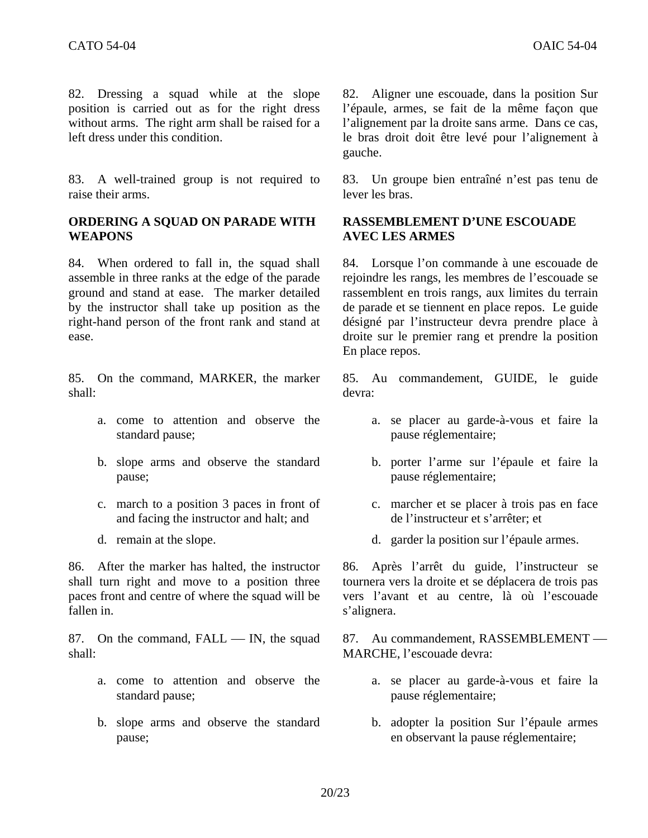82. Dressing a squad while at the slope position is carried out as for the right dress without arms. The right arm shall be raised for a left dress under this condition.

83. A well-trained group is not required to raise their arms.

## **ORDERING A SQUAD ON PARADE WITH WEAPONS**

84. When ordered to fall in, the squad shall assemble in three ranks at the edge of the parade ground and stand at ease. The marker detailed by the instructor shall take up position as the right-hand person of the front rank and stand at ease.

85. On the command, MARKER, the marker shall:

- a. come to attention and observe the standard pause;
- b. slope arms and observe the standard pause;
- c. march to a position 3 paces in front of and facing the instructor and halt; and
- 

86. After the marker has halted, the instructor shall turn right and move to a position three paces front and centre of where the squad will be fallen in.

87. On the command,  $FALL$  — IN, the squad shall:

- a. come to attention and observe the standard pause;
- b. slope arms and observe the standard pause;

82. Aligner une escouade, dans la position Sur l'épaule, armes, se fait de la même façon que l'alignement par la droite sans arme. Dans ce cas, le bras droit doit être levé pour l'alignement à gauche.

83. Un groupe bien entraîné n'est pas tenu de lever les bras.

## **RASSEMBLEMENT D'UNE ESCOUADE AVEC LES ARMES**

84. Lorsque l'on commande à une escouade de rejoindre les rangs, les membres de l'escouade se rassemblent en trois rangs, aux limites du terrain de parade et se tiennent en place repos. Le guide désigné par l'instructeur devra prendre place à droite sur le premier rang et prendre la position En place repos.

85. Au commandement, GUIDE, le guide devra:

- a. se placer au garde-à-vous et faire la pause réglementaire;
- b. porter l'arme sur l'épaule et faire la pause réglementaire;
- c. marcher et se placer à trois pas en face de l'instructeur et s'arrêter; et
- d. remain at the slope. d. garder la position sur l'épaule armes.

86. Après l'arrêt du guide, l'instructeur se tournera vers la droite et se déplacera de trois pas vers l'avant et au centre, là où l'escouade s'alignera.

87. Au commandement, RASSEMBLEMENT — MARCHE, l'escouade devra:

- a. se placer au garde-à-vous et faire la pause réglementaire;
- b. adopter la position Sur l'épaule armes en observant la pause réglementaire;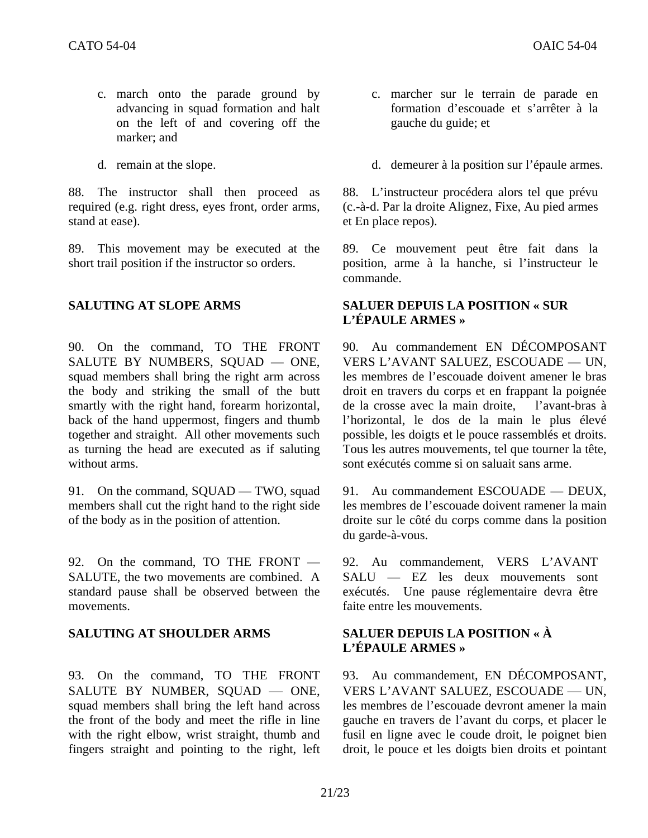- c. march onto the parade ground by advancing in squad formation and halt on the left of and covering off the marker; and
- 

88. The instructor shall then proceed as required (e.g. right dress, eyes front, order arms, stand at ease).

89. This movement may be executed at the short trail position if the instructor so orders.

90. On the command, TO THE FRONT SALUTE BY NUMBERS, SQUAD — ONE, squad members shall bring the right arm across the body and striking the small of the butt smartly with the right hand, forearm horizontal, back of the hand uppermost, fingers and thumb together and straight. All other movements such as turning the head are executed as if saluting without arms.

91. On the command, SQUAD — TWO, squad members shall cut the right hand to the right side of the body as in the position of attention.

92. On the command, TO THE FRONT — SALUTE, the two movements are combined. A standard pause shall be observed between the movements.

93. On the command, TO THE FRONT SALUTE BY NUMBER, SQUAD - ONE, squad members shall bring the left hand across the front of the body and meet the rifle in line with the right elbow, wrist straight, thumb and fingers straight and pointing to the right, left

- c. marcher sur le terrain de parade en formation d'escouade et s'arrêter à la gauche du guide; et
- d. remain at the slope. d. demeurer à la position sur l'épaule armes.

88. L'instructeur procédera alors tel que prévu (c.-à-d. Par la droite Alignez, Fixe, Au pied armes et En place repos).

89. Ce mouvement peut être fait dans la position, arme à la hanche, si l'instructeur le commande.

## **SALUTING AT SLOPE ARMS SALUER DEPUIS LA POSITION « SUR L'ÉPAULE ARMES »**

90. Au commandement EN DÉCOMPOSANT VERS L'AVANT SALUEZ, ESCOUADE — UN, les membres de l'escouade doivent amener le bras droit en travers du corps et en frappant la poignée de la crosse avec la main droite, l'avant-bras à l'horizontal, le dos de la main le plus élevé possible, les doigts et le pouce rassemblés et droits. Tous les autres mouvements, tel que tourner la tête, sont exécutés comme si on saluait sans arme.

91. Au commandement ESCOUADE — DEUX. les membres de l'escouade doivent ramener la main droite sur le côté du corps comme dans la position du garde-à-vous.

92. Au commandement, VERS L'AVANT SALU — EZ les deux mouvements sont exécutés. Une pause réglementaire devra être faite entre les mouvements.

## **SALUTING AT SHOULDER ARMS SALUER DEPUIS LA POSITION « À L'ÉPAULE ARMES »**

93. Au commandement, EN DÉCOMPOSANT, VERS L'AVANT SALUEZ, ESCOUADE — UN. les membres de l'escouade devront amener la main gauche en travers de l'avant du corps, et placer le fusil en ligne avec le coude droit, le poignet bien droit, le pouce et les doigts bien droits et pointant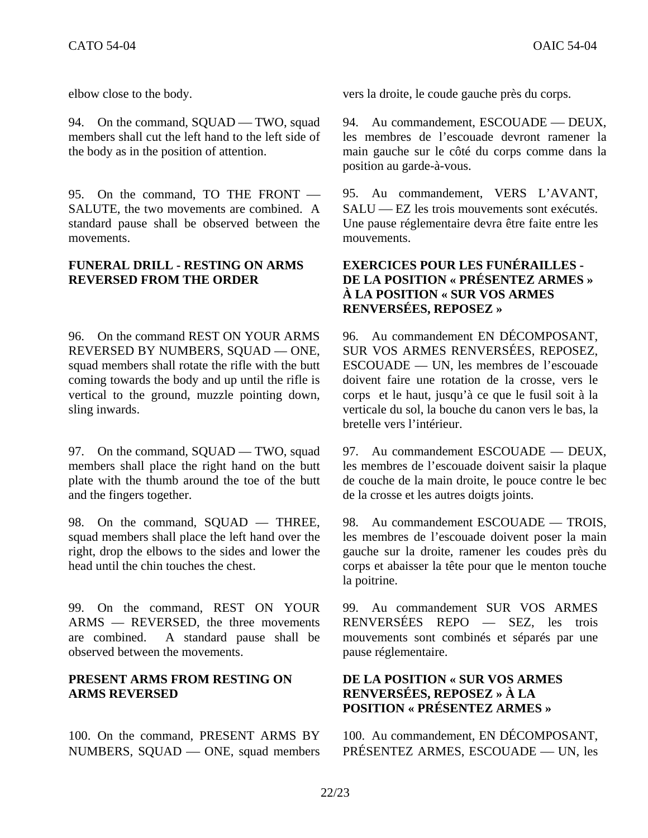94. On the command, SQUAD — TWO, squad members shall cut the left hand to the left side of the body as in the position of attention.

95. On the command, TO THE FRONT — SALUTE, the two movements are combined. A standard pause shall be observed between the movements.

## **FUNERAL DRILL - RESTING ON ARMS REVERSED FROM THE ORDER**

96. On the command REST ON YOUR ARMS REVERSED BY NUMBERS, SOUAD - ONE, squad members shall rotate the rifle with the butt coming towards the body and up until the rifle is vertical to the ground, muzzle pointing down, sling inwards.

97. On the command, SQUAD — TWO, squad members shall place the right hand on the butt plate with the thumb around the toe of the butt and the fingers together.

98. On the command, SQUAD — THREE, squad members shall place the left hand over the right, drop the elbows to the sides and lower the head until the chin touches the chest.

99. On the command, REST ON YOUR ARMS — REVERSED, the three movements are combined. A standard pause shall be observed between the movements.

## **PRESENT ARMS FROM RESTING ON ARMS REVERSED**

100. On the command, PRESENT ARMS BY NUMBERS, SQUAD — ONE, squad members

elbow close to the body. vers la droite, le coude gauche près du corps.

94. Au commandement, ESCOUADE — DEUX, les membres de l'escouade devront ramener la main gauche sur le côté du corps comme dans la position au garde-à-vous.

95. Au commandement, VERS L'AVANT, SALU — EZ les trois mouvements sont exécutés. Une pause réglementaire devra être faite entre les mouvements.

## **EXERCICES POUR LES FUNÉRAILLES - DE LA POSITION « PRÉSENTEZ ARMES » À LA POSITION « SUR VOS ARMES RENVERSÉES, REPOSEZ »**

96. Au commandement EN DÉCOMPOSANT, SUR VOS ARMES RENVERSÉES, REPOSEZ, ESCOUADE — UN, les membres de l'escouade doivent faire une rotation de la crosse, vers le corps et le haut, jusqu'à ce que le fusil soit à la verticale du sol, la bouche du canon vers le bas, la bretelle vers l'intérieur.

97. Au commandement ESCOUADE — DEUX, les membres de l'escouade doivent saisir la plaque de couche de la main droite, le pouce contre le bec de la crosse et les autres doigts joints.

98. Au commandement ESCOUADE — TROIS, les membres de l'escouade doivent poser la main gauche sur la droite, ramener les coudes près du corps et abaisser la tête pour que le menton touche la poitrine.

99. Au commandement SUR VOS ARMES RENVERSÉES REPO — SEZ, les trois mouvements sont combinés et séparés par une pause réglementaire.

## **DE LA POSITION « SUR VOS ARMES RENVERSÉES, REPOSEZ » À LA POSITION « PRÉSENTEZ ARMES »**

100. Au commandement, EN DÉCOMPOSANT, PRÉSENTEZ ARMES, ESCOUADE — UN, les